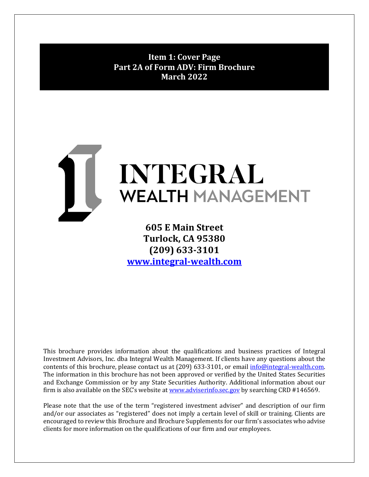<span id="page-0-0"></span>**Item 1: Cover Page Part 2A of Form ADV: Firm Brochure March 2022**



 **605 E Main Street Turlock, CA 95380 (209) 633-3101 [www.integral-wealth.com](http://www.integral-wealth.com/)** 

This brochure provides information about the qualifications and business practices of Integral Investment Advisors, Inc. dba Integral Wealth Management. If clients have any questions about the contents of this brochure, please contact us at (209) 633-3101, or email [info@integral-wealth.com.](mailto:info@integral-wealth.com) The information in this brochure has not been approved or verified by the United States Securities and Exchange Commission or by any State Securities Authority. Additional information about our firm is also available on the SEC's website at [www.adviserinfo.sec.gov](http://www.adviserinfo.sec.gov/) by searching CRD #146569.

Please note that the use of the term "registered investment adviser" and description of our firm and/or our associates as "registered" does not imply a certain level of skill or training. Clients are encouraged to review this Brochure and Brochure Supplements for our firm's associates who advise clients for more information on the qualifications of our firm and our employees.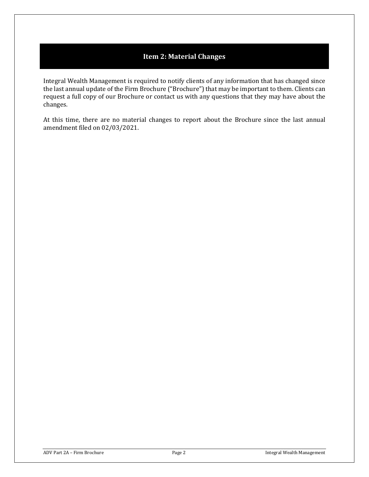# **Item 2: Material Changes**

<span id="page-1-0"></span>Integral Wealth Management is required to notify clients of any information that has changed since the last annual update of the Firm Brochure ("Brochure") that may be important to them. Clients can request a full copy of our Brochure or contact us with any questions that they may have about the changes.

At this time, there are no material changes to report about the Brochure since the last annual amendment filed on 02/03/2021.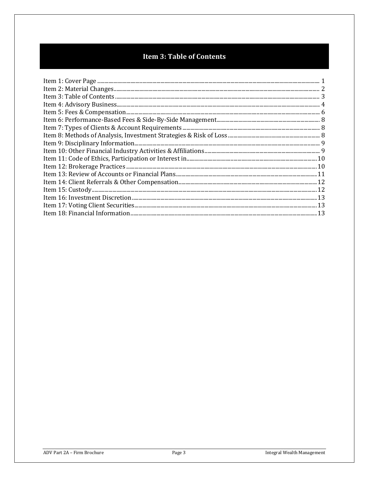# **Item 3: Table of Contents**

<span id="page-2-0"></span>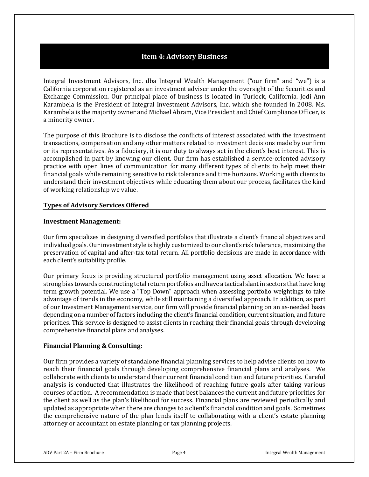# **Item 4: Advisory Business**

<span id="page-3-0"></span>Integral Investment Advisors, Inc. dba Integral Wealth Management ("our firm" and "we") is a California corporation registered as an investment adviser under the oversight of the Securities and Exchange Commission. Our principal place of business is located in Turlock, California. Jodi Ann Karambela is the President of Integral Investment Advisors, Inc. which she founded in 2008. Ms. Karambela is the majority owner and Michael Abram, Vice President and Chief Compliance Officer, is a minority owner.

The purpose of this Brochure is to disclose the conflicts of interest associated with the investment transactions, compensation and any other matters related to investment decisions made by our firm or its representatives. As a fiduciary, it is our duty to always act in the client's best interest. This is accomplished in part by knowing our client. Our firm has established a service-oriented advisory practice with open lines of communication for many different types of clients to help meet their financial goals while remaining sensitive to risk tolerance and time horizons. Working with clients to understand their investment objectives while educating them about our process, facilitates the kind of working relationship we value.

#### **Types of Advisory Services Offered**

#### **Investment Management:**

Our firm specializes in designing diversified portfolios that illustrate a client's financial objectives and individual goals. Our investment style is highly customized to our client's risk tolerance, maximizing the preservation of capital and after-tax total return. All portfolio decisions are made in accordance with each client's suitability profile.

Our primary focus is providing structured portfolio management using asset allocation. We have a strong bias towards constructing total return portfolios and have a tactical slant in sectors that have long term growth potential. We use a "Top Down" approach when assessing portfolio weightings to take advantage of trends in the economy, while still maintaining a diversified approach. In addition, as part of our Investment Management service, our firm will provide financial planning on an as-needed basis depending on a number of factors including the client's financial condition, current situation, and future priorities. This service is designed to assist clients in reaching their financial goals through developing comprehensive financial plans and analyses.

#### **Financial Planning & Consulting:**

Our firm provides a variety of standalone financial planning services to help advise clients on how to reach their financial goals through developing comprehensive financial plans and analyses. We collaborate with clients to understand their current financial condition and future priorities. Careful analysis is conducted that illustrates the likelihood of reaching future goals after taking various courses of action. A recommendation is made that best balances the current and future priorities for the client as well as the plan's likelihood for success. Financial plans are reviewed periodically and updated as appropriate when there are changes to a client's financial condition and goals. Sometimes the comprehensive nature of the plan lends itself to collaborating with a client's estate planning attorney or accountant on estate planning or tax planning projects.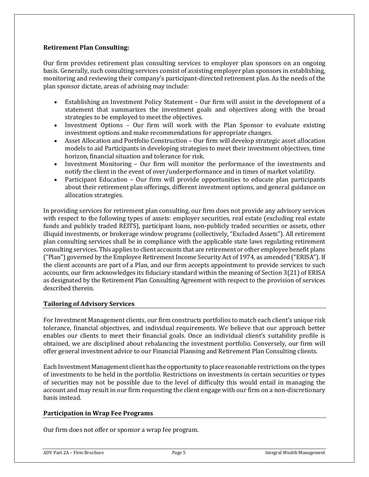#### **Retirement Plan Consulting:**

Our firm provides retirement plan consulting services to employer plan sponsors on an ongoing basis. Generally, such consulting services consist of assisting employer plan sponsors in establishing, monitoring and reviewing their company's participant-directed retirement plan. As the needs of the plan sponsor dictate, areas of advising may include:

- Establishing an Investment Policy Statement Our firm will assist in the development of a statement that summarizes the investment goals and objectives along with the broad strategies to be employed to meet the objectives.
- Investment Options Our firm will work with the Plan Sponsor to evaluate existing investment options and make recommendations for appropriate changes.
- Asset Allocation and Portfolio Construction Our firm will develop strategic asset allocation models to aid Participants in developing strategies to meet their investment objectives, time horizon, financial situation and tolerance for risk.
- Investment Monitoring Our firm will monitor the performance of the investments and notify the client in the event of over/underperformance and in times of market volatility.
- Participant Education Our firm will provide opportunities to educate plan participants about their retirement plan offerings, different investment options, and general guidance on allocation strategies.

In providing services for retirement plan consulting, our firm does not provide any advisory services with respect to the following types of assets: employer securities, real estate (excluding real estate funds and publicly traded REITS), participant loans, non-publicly traded securities or assets, other illiquid investments, or brokerage window programs (collectively, "Excluded Assets"). All retirement plan consulting services shall be in compliance with the applicable state laws regulating retirement consulting services. This applies to client accounts that are retirement or other employee benefit plans ("Plan") governed by the Employee Retirement Income Security Act of 1974, as amended ("ERISA"). If the client accounts are part of a Plan, and our firm accepts appointment to provide services to such accounts, our firm acknowledges its fiduciary standard within the meaning of Section 3(21) of ERISA as designated by the Retirement Plan Consulting Agreement with respect to the provision of services described therein.

#### **Tailoring of Advisory Services**

For Investment Management clients, our firm constructs portfolios to match each client's unique risk tolerance, financial objectives, and individual requirements. We believe that our approach better enables our clients to meet their financial goals. Once an individual client's suitability profile is obtained, we are disciplined about rebalancing the investment portfolio. Conversely, our firm will offer general investment advice to our Financial Planning and Retirement Plan Consulting clients.

Each Investment Management client has the opportunity to place reasonable restrictions on the types of investments to be held in the portfolio. Restrictions on investments in certain securities or types of securities may not be possible due to the level of difficulty this would entail in managing the account and may result in our firm requesting the client engage with our firm on a non-discretionary basis instead.

#### **Participation in Wrap Fee Programs**

Our firm does not offer or sponsor a wrap fee program.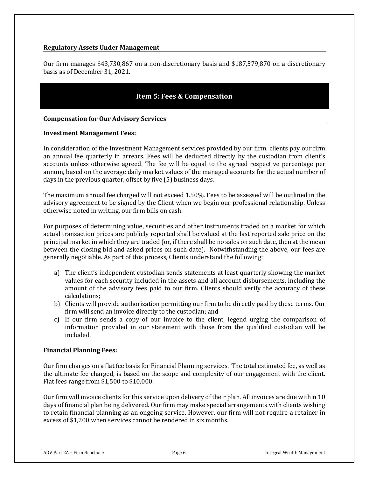#### **Regulatory Assets Under Management**

Our firm manages \$43,730,867 on a non-discretionary basis and \$187,579,870 on a discretionary basis as of December 31, 2021.

# **Item 5: Fees & Compensation**

#### <span id="page-5-0"></span>**Compensation for Our Advisory Services**

#### **Investment Management Fees:**

In consideration of the Investment Management services provided by our firm, clients pay our firm an annual fee quarterly in arrears. Fees will be deducted directly by the custodian from client's accounts unless otherwise agreed. The fee will be equal to the agreed respective percentage per annum, based on the average daily market values of the managed accounts for the actual number of days in the previous quarter, offset by five (5) business days.

The maximum annual fee charged will not exceed 1.50%. Fees to be assessed will be outlined in the advisory agreement to be signed by the Client when we begin our professional relationship. Unless otherwise noted in writing, our firm bills on cash.

For purposes of determining value, securities and other instruments traded on a market for which actual transaction prices are publicly reported shall be valued at the last reported sale price on the principal market in which they are traded (or, if there shall be no sales on such date, then at the mean between the closing bid and asked prices on such date). Notwithstanding the above, our fees are generally negotiable. As part of this process, Clients understand the following:

- a) The client's independent custodian sends statements at least quarterly showing the market values for each security included in the assets and all account disbursements, including the amount of the advisory fees paid to our firm. Clients should verify the accuracy of these calculations;
- b) Clients will provide authorization permitting our firm to be directly paid by these terms. Our firm will send an invoice directly to the custodian; and
- c) If our firm sends a copy of our invoice to the client, legend urging the comparison of information provided in our statement with those from the qualified custodian will be included.

#### **Financial Planning Fees:**

Our firm charges on a flat fee basis for Financial Planning services. The total estimated fee, as well as the ultimate fee charged, is based on the scope and complexity of our engagement with the client. Flat fees range from \$1,500 to \$10,000.

Our firm will invoice clients for this service upon delivery of their plan. All invoices are due within 10 days of financial plan being delivered. Our firm may make special arrangements with clients wishing to retain financial planning as an ongoing service. However, our firm will not require a retainer in excess of \$1,200 when services cannot be rendered in six months.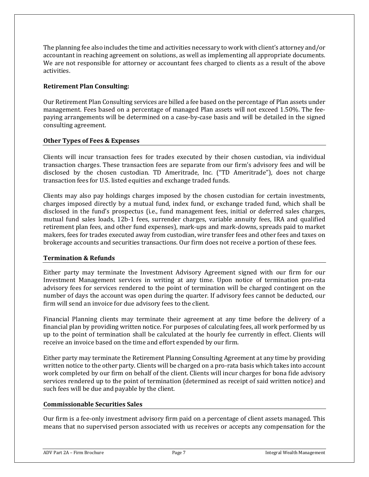The planning fee also includes the time and activities necessary to work with client's attorney and/or accountant in reaching agreement on solutions, as well as implementing all appropriate documents. We are not responsible for attorney or accountant fees charged to clients as a result of the above activities.

#### **Retirement Plan Consulting:**

Our Retirement Plan Consulting services are billed a fee based on the percentage of Plan assets under management. Fees based on a percentage of managed Plan assets will not exceed 1.50%. The feepaying arrangements will be determined on a case-by-case basis and will be detailed in the signed consulting agreement.

#### **Other Types of Fees & Expenses**

Clients will incur transaction fees for trades executed by their chosen custodian, via individual transaction charges. These transaction fees are separate from our firm's advisory fees and will be disclosed by the chosen custodian. TD Ameritrade, Inc. ("TD Ameritrade"), does not charge transaction fees for U.S. listed equities and exchange traded funds.

Clients may also pay holdings charges imposed by the chosen custodian for certain investments, charges imposed directly by a mutual fund, index fund, or exchange traded fund, which shall be disclosed in the fund's prospectus (i.e., fund management fees, initial or deferred sales charges, mutual fund sales loads, 12b-1 fees, surrender charges, variable annuity fees, IRA and qualified retirement plan fees, and other fund expenses), mark-ups and mark-downs, spreads paid to market makers, fees for trades executed away from custodian, wire transfer fees and other fees and taxes on brokerage accounts and securities transactions. Our firm does not receive a portion of these fees.

#### **Termination & Refunds**

Either party may terminate the Investment Advisory Agreement signed with our firm for our Investment Management services in writing at any time. Upon notice of termination pro-rata advisory fees for services rendered to the point of termination will be charged contingent on the number of days the account was open during the quarter. If advisory fees cannot be deducted, our firm will send an invoice for due advisory fees to the client.

Financial Planning clients may terminate their agreement at any time before the delivery of a financial plan by providing written notice. For purposes of calculating fees, all work performed by us up to the point of termination shall be calculated at the hourly fee currently in effect. Clients will receive an invoice based on the time and effort expended by our firm.

Either party may terminate the Retirement Planning Consulting Agreement at any time by providing written notice to the other party. Clients will be charged on a pro-rata basis which takes into account work completed by our firm on behalf of the client. Clients will incur charges for bona fide advisory services rendered up to the point of termination (determined as receipt of said written notice) and such fees will be due and payable by the client.

#### **Commissionable Securities Sales**

Our firm is a fee-only investment advisory firm paid on a percentage of client assets managed. This means that no supervised person associated with us receives or accepts any compensation for the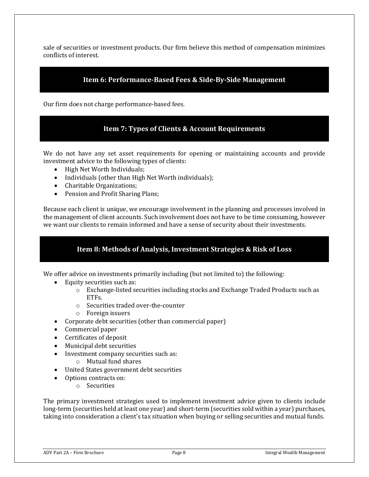sale of securities or investment products. Our firm believe this method of compensation minimizes conflicts of interest.

## **Item 6: Performance-Based Fees & Side-By-Side Management**

<span id="page-7-1"></span><span id="page-7-0"></span>Our firm does not charge performance-based fees.

#### **Item 7: Types of Clients & Account Requirements**

We do not have any set asset requirements for opening or maintaining accounts and provide investment advice to the following types of clients:

- High Net Worth Individuals;
- Individuals (other than High Net Worth individuals);
- Charitable Organizations;
- Pension and Profit Sharing Plans;

Because each client is unique, we encourage involvement in the planning and processes involved in the management of client accounts. Such involvement does not have to be time consuming, however we want our clients to remain informed and have a sense of security about their investments.

# **Item 8: Methods of Analysis, Investment Strategies & Risk of Loss**

<span id="page-7-2"></span>We offer advice on investments primarily including (but not limited to) the following:

- Equity securities such as:
	- $\circ$  Exchange-listed securities including stocks and Exchange Traded Products such as ETFs.
	- o Securities traded over-the-counter
	- o Foreign issuers
- Corporate debt securities (other than commercial paper)
- Commercial paper
- Certificates of deposit
- Municipal debt securities
- Investment company securities such as:
	- o Mutual fund shares
- United States government debt securities
- Options contracts on:
	- o Securities

The primary investment strategies used to implement investment advice given to clients include long-term (securities held at least one year) and short-term (securities sold within a year) purchases, taking into consideration a client's tax situation when buying or selling securities and mutual funds.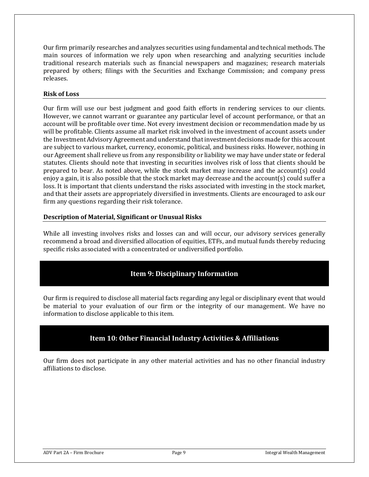Our firm primarily researches and analyzes securities using fundamental and technical methods. The main sources of information we rely upon when researching and analyzing securities include traditional research materials such as financial newspapers and magazines; research materials prepared by others; filings with the Securities and Exchange Commission; and company press releases.

#### **Risk of Loss**

Our firm will use our best judgment and good faith efforts in rendering services to our clients. However, we cannot warrant or guarantee any particular level of account performance, or that an account will be profitable over time. Not every investment decision or recommendation made by us will be profitable. Clients assume all market risk involved in the investment of account assets under the Investment Advisory Agreement and understand that investment decisions made for this account are subject to various market, currency, economic, political, and business risks. However, nothing in our Agreement shall relieve us from any responsibility or liability we may have under state or federal statutes. Clients should note that investing in securities involves risk of loss that clients should be prepared to bear. As noted above, while the stock market may increase and the account(s) could enjoy a gain, it is also possible that the stock market may decrease and the account(s) could suffer a loss. It is important that clients understand the risks associated with investing in the stock market, and that their assets are appropriately diversified in investments. Clients are encouraged to ask our firm any questions regarding their risk tolerance.

#### **Description of Material, Significant or Unusual Risks**

While all investing involves risks and losses can and will occur, our advisory services generally recommend a broad and diversified allocation of equities, ETFs, and mutual funds thereby reducing specific risks associated with a concentrated or undiversified portfolio.

# **Item 9: Disciplinary Information**

<span id="page-8-0"></span>Our firm is required to disclose all material facts regarding any legal or disciplinary event that would be material to your evaluation of our firm or the integrity of our management. We have no information to disclose applicable to this item.

# **Item 10: Other Financial Industry Activities & Affiliations**

<span id="page-8-1"></span>Our firm does not participate in any other material activities and has no other financial industry affiliations to disclose.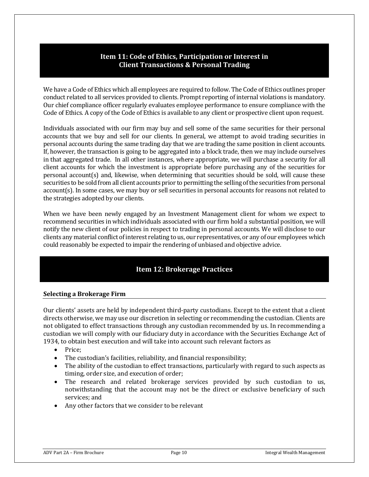# **Item 11: Code of Ethics, Participation or Interest in Client Transactions & Personal Trading**

<span id="page-9-0"></span>We have a Code of Ethics which all employees are required to follow. The Code of Ethics outlines proper conduct related to all services provided to clients. Prompt reporting of internal violations is mandatory. Our chief compliance officer regularly evaluates employee performance to ensure compliance with the Code of Ethics. A copy of the Code of Ethics is available to any client or prospective client upon request.

Individuals associated with our firm may buy and sell some of the same securities for their personal accounts that we buy and sell for our clients. In general, we attempt to avoid trading securities in personal accounts during the same trading day that we are trading the same position in client accounts. If, however, the transaction is going to be aggregated into a block trade, then we may include ourselves in that aggregated trade. In all other instances, where appropriate, we will purchase a security for all client accounts for which the investment is appropriate before purchasing any of the securities for personal account(s) and, likewise, when determining that securities should be sold, will cause these securities to be sold from all client accounts prior to permitting the selling of the securities from personal account(s). In some cases, we may buy or sell securities in personal accounts for reasons not related to the strategies adopted by our clients.

When we have been newly engaged by an Investment Management client for whom we expect to recommend securities in which individuals associated with our firm hold a substantial position, we will notify the new client of our policies in respect to trading in personal accounts. We will disclose to our clients any material conflict of interest relating to us, our representatives, or any of our employees which could reasonably be expected to impair the rendering of unbiased and objective advice.

# **Item 12: Brokerage Practices**

#### <span id="page-9-1"></span>**Selecting a Brokerage Firm**

Our clients' assets are held by independent third-party custodians. Except to the extent that a client directs otherwise, we may use our discretion in selecting or recommending the custodian. Clients are not obligated to effect transactions through any custodian recommended by us. In recommending a custodian we will comply with our fiduciary duty in accordance with the Securities Exchange Act of 1934, to obtain best execution and will take into account such relevant factors as

- Price;
- The custodian's facilities, reliability, and financial responsibility;
- The ability of the custodian to effect transactions, particularly with regard to such aspects as timing, order size, and execution of order;
- The research and related brokerage services provided by such custodian to us, notwithstanding that the account may not be the direct or exclusive beneficiary of such services; and
- Any other factors that we consider to be relevant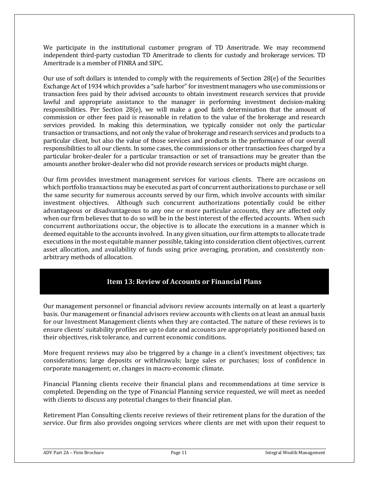We participate in the institutional customer program of TD Ameritrade. We may recommend independent third-party custodian TD Ameritrade to clients for custody and brokerage services. TD Ameritrade is a member of FINRA and SIPC.

Our use of soft dollars is intended to comply with the requirements of Section 28(e) of the Securities Exchange Act of 1934 which provides a "safe harbor" for investment managers who use commissions or transaction fees paid by their advised accounts to obtain investment research services that provide lawful and appropriate assistance to the manager in performing investment decision-making responsibilities. Per Section 28 $(e)$ , we will make a good faith determination that the amount of commission or other fees paid is reasonable in relation to the value of the brokerage and research services provided. In making this determination, we typically consider not only the particular transaction or transactions, and not only the value of brokerage and research services and products to a particular client, but also the value of those services and products in the performance of our overall responsibilities to all our clients. In some cases, the commissions or other transaction fees charged by a particular broker-dealer for a particular transaction or set of transactions may be greater than the amounts another broker-dealer who did not provide research services or products might charge.

Our firm provides investment management services for various clients. There are occasions on which portfolio transactions may be executed as part of concurrent authorizations to purchase or sell the same security for numerous accounts served by our firm, which involve accounts with similar investment objectives. Although such concurrent authorizations potentially could be either advantageous or disadvantageous to any one or more particular accounts, they are affected only when our firm believes that to do so will be in the best interest of the effected accounts. When such concurrent authorizations occur, the objective is to allocate the executions in a manner which is deemed equitable to the accounts involved. In any given situation, our firm attempts to allocate trade executions in the most equitable manner possible, taking into consideration client objectives, current asset allocation, and availability of funds using price averaging, proration, and consistently nonarbitrary methods of allocation.

# **Item 13: Review of Accounts or Financial Plans**

<span id="page-10-0"></span>Our management personnel or financial advisors review accounts internally on at least a quarterly basis. Our management or financial advisors review accounts with clients on at least an annual basis for our Investment Management clients when they are contacted. The nature of these reviews is to ensure clients' suitability profiles are up to date and accounts are appropriately positioned based on their objectives, risk tolerance, and current economic conditions.

More frequent reviews may also be triggered by a change in a client's investment objectives; tax considerations; large deposits or withdrawals; large sales or purchases; loss of confidence in corporate management; or, changes in macro-economic climate.

Financial Planning clients receive their financial plans and recommendations at time service is completed. Depending on the type of Financial Planning service requested, we will meet as needed with clients to discuss any potential changes to their financial plan.

Retirement Plan Consulting clients receive reviews of their retirement plans for the duration of the service. Our firm also provides ongoing services where clients are met with upon their request to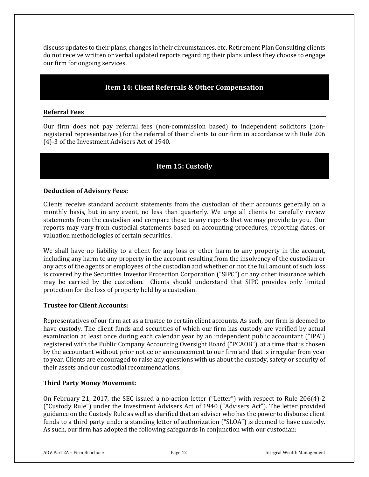discuss updates to their plans, changes in their circumstances, etc. Retirement Plan Consulting clients do not receive written or verbal updated reports regarding their plans unless they choose to engage our firm for ongoing services.

#### **Item 14: Client Referrals & Other Compensation**

#### <span id="page-11-0"></span>**Referral Fees**

Our firm does not pay referral fees (non-commission based) to independent solicitors (nonregistered representatives) for the referral of their clients to our firm in accordance with Rule 206 (4)-3 of the Investment Advisers Act of 1940.

# **Item 15: Custody**

#### <span id="page-11-1"></span>**Deduction of Advisory Fees:**

Clients receive standard account statements from the custodian of their accounts generally on a monthly basis, but in any event, no less than quarterly. We urge all clients to carefully review statements from the custodian and compare these to any reports that we may provide to you. Our reports may vary from custodial statements based on accounting procedures, reporting dates, or valuation methodologies of certain securities.

We shall have no liability to a client for any loss or other harm to any property in the account, including any harm to any property in the account resulting from the insolvency of the custodian or any acts of the agents or employees of the custodian and whether or not the full amount of such loss is covered by the Securities Investor Protection Corporation ("SIPC") or any other insurance which may be carried by the custodian. Clients should understand that SIPC provides only limited protection for the loss of property held by a custodian.

#### **Trustee for Client Accounts:**

Representatives of our firm act as a trustee to certain client accounts. As such, our firm is deemed to have custody. The client funds and securities of which our firm has custody are verified by actual examination at least once during each calendar year by an independent public accountant ("IPA") registered with the Public Company Accounting Oversight Board ("PCAOB"), at a time that is chosen by the accountant without prior notice or announcement to our firm and that is irregular from year to year. Clients are encouraged to raise any questions with us about the custody, safety or security of their assets and our custodial recommendations.

#### **Third Party Money Movement:**

On February 21, 2017, the SEC issued a no-action letter ("Letter") with respect to Rule 206(4)-2 ("Custody Rule") under the Investment Advisers Act of 1940 ("Advisers Act"). The letter provided guidance on the Custody Rule as well as clarified that an adviser who has the power to disburse client funds to a third party under a standing letter of authorization ("SLOA") is deemed to have custody. As such, our firm has adopted the following safeguards in conjunction with our custodian: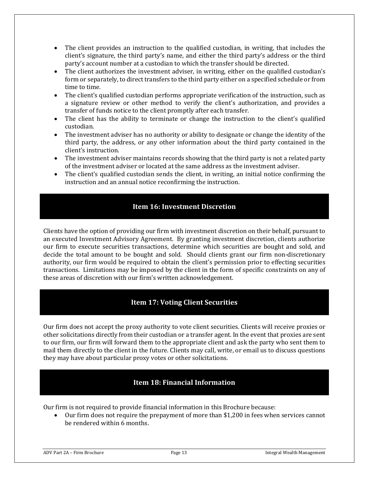- The client provides an instruction to the qualified custodian, in writing, that includes the client's signature, the third party's name, and either the third party's address or the third party's account number at a custodian to which the transfer should be directed.
- The client authorizes the investment adviser, in writing, either on the qualified custodian's form or separately, to direct transfers to the third party either on a specified schedule or from time to time.
- The client's qualified custodian performs appropriate verification of the instruction, such as a signature review or other method to verify the client's authorization, and provides a transfer of funds notice to the client promptly after each transfer.
- The client has the ability to terminate or change the instruction to the client's qualified custodian.
- The investment adviser has no authority or ability to designate or change the identity of the third party, the address, or any other information about the third party contained in the client's instruction.
- The investment adviser maintains records showing that the third party is not a related party of the investment adviser or located at the same address as the investment adviser.
- The client's qualified custodian sends the client, in writing, an initial notice confirming the instruction and an annual notice reconfirming the instruction.

# **Item 16: Investment Discretion**

<span id="page-12-0"></span>Clients have the option of providing our firm with investment discretion on their behalf, pursuant to an executed Investment Advisory Agreement. By granting investment discretion, clients authorize our firm to execute securities transactions, determine which securities are bought and sold, and decide the total amount to be bought and sold. Should clients grant our firm non-discretionary authority, our firm would be required to obtain the client's permission prior to effecting securities transactions. Limitations may be imposed by the client in the form of specific constraints on any of these areas of discretion with our firm's written acknowledgement.

# **Item 17: Voting Client Securities**

<span id="page-12-1"></span>Our firm does not accept the proxy authority to vote client securities. Clients will receive proxies or other solicitations directly from their custodian or a transfer agent. In the event that proxies are sent to our firm, our firm will forward them to the appropriate client and ask the party who sent them to mail them directly to the client in the future. Clients may call, write, or email us to discuss questions they may have about particular proxy votes or other solicitations.

# **Item 18: Financial Information**

<span id="page-12-2"></span>Our firm is not required to provide financial information in this Brochure because:

• Our firm does not require the prepayment of more than \$1,200 in fees when services cannot be rendered within 6 months.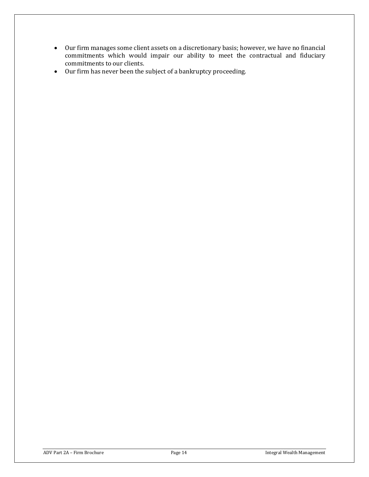- Our firm manages some client assets on a discretionary basis; however, we have no financial commitments which would impair our ability to meet the contractual and fiduciary commitments to our clients.
- Our firm has never been the subject of a bankruptcy proceeding.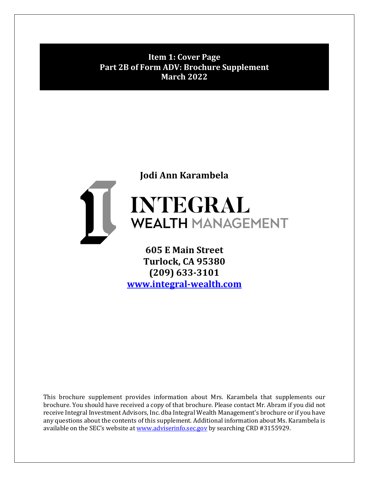**Item 1: Cover Page Part 2B of Form ADV: Brochure Supplement March 2022**

# **Jodi Ann Karambela**

# INTEGRAL II **WEALTH MANAGEMENT**

**605 E Main Street Turlock, CA 95380 (209) 633-3101 [www.integral-wealth.com](http://www.integral-wealth.com/)** 

This brochure supplement provides information about Mrs. Karambela that supplements our brochure. You should have received a copy of that brochure. Please contact Mr. Abram if you did not receive Integral Investment Advisors, Inc. dba Integral Wealth Management's brochure or if you have any questions about the contents of this supplement. Additional information about Ms. Karambela is available on the SEC's website a[t www.adviserinfo.sec.gov](http://www.adviserinfo.sec.gov/) by searching CRD #3155929.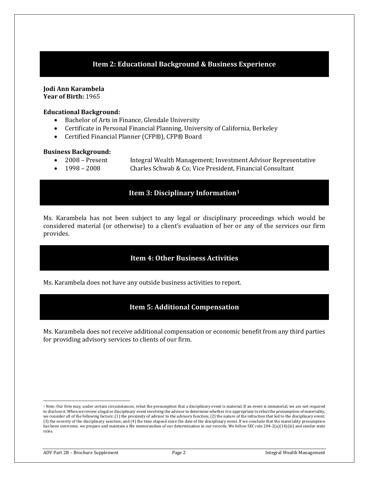# **Item 2: Educational Background & Business Experience**

**Jodi Ann Karambela Year of Birth:** 1965

#### **Educational Background:**

- Bachelor of Arts in Finance, Glendale University<br>• Certificate in Personal Financial Planning. Unive
- Certificate in Personal Financial Planning, University of California, Berkeley
- Certified Financial Planner (CFP®), CFP® Board

#### **Business Background:**

- 2008 Present Integral Wealth Management; Investment Advisor Representative<br>• 1998 2008 Charles Schwab & Co; Vice President, Financial Consultant
	- Charles Schwab & Co; Vice President, Financial Consultant

#### **Item 3: Disciplinary Information[1](#page-15-0)**

Ms. Karambela has not been subject to any legal or disciplinary proceedings which would be considered material (or otherwise) to a client's evaluation of her or any of the services our firm provides.

# **Item 4: Other Business Activities**

Ms. Karambela does not have any outside business activities to report.

#### **Item 5: Additional Compensation**

Ms. Karambela does not receive additional compensation or economic benefit from any third parties for providing advisory services to clients of our firm.

<span id="page-15-0"></span><sup>1</sup> Note: Our firm may, under certain circumstances, rebut the presumption that a disciplinary event is material. If an event is immaterial, we are not required to disclose it. When we review a legal or disciplinary event involving the advisor to determine whether it is appropriate to rebut the presumption of materiality, we consider all of the following factors: (1) the proximity of advisor to the advisory function; (2) the nature of the infraction that led to the disciplinary event; (3) the severity of the disciplinary sanction; and (4) the time elapsed since the date of the disciplinary event. If we conclude that the materiality presumption has been overcome, we prepare and maintain a file memorandum of our determination in our records. We follow SEC rule 204-2(a)(14)(iii) and similar state rules.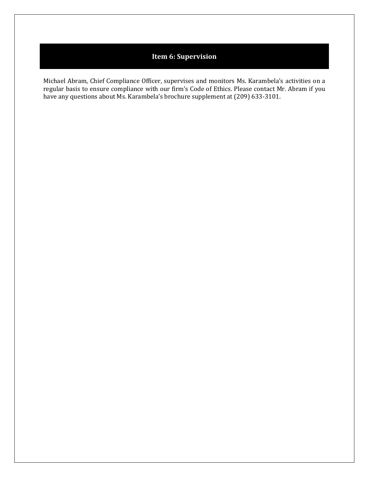# **Item 6: Supervision**

Michael Abram, Chief Compliance Officer, supervises and monitors Ms. Karambela's activities on a regular basis to ensure compliance with our firm's Code of Ethics. Please contact Mr. Abram if you have any questions about Ms. Karambela's brochure supplement at (209) 633-3101.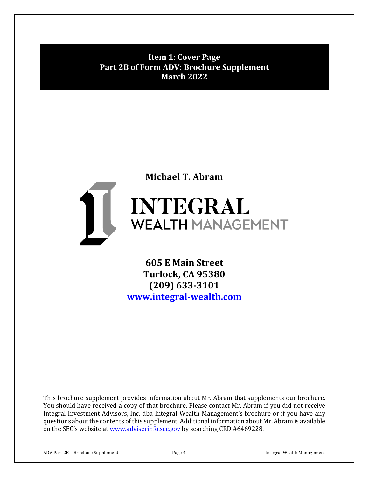**Item 1: Cover Page Part 2B of Form ADV: Brochure Supplement March 2022**

# **Michael T. Abram** I INTEGRAL **WEALTH MANAGEMENT**

**605 E Main Street Turlock, CA 95380 (209) 633-3101 [www.integral-wealth.com](http://www.integral-wealth.com/)** 

This brochure supplement provides information about Mr. Abram that supplements our brochure. You should have received a copy of that brochure. Please contact Mr. Abram if you did not receive Integral Investment Advisors, Inc. dba Integral Wealth Management's brochure or if you have any questions about the contents of this supplement. Additional information about Mr. Abram is available on the SEC's website a[t www.adviserinfo.sec.gov](http://www.adviserinfo.sec.gov/) by searching CRD #6469228.

ADV Part 2B – Brochure Supplement Page 4 Page 4 Integral Wealth Management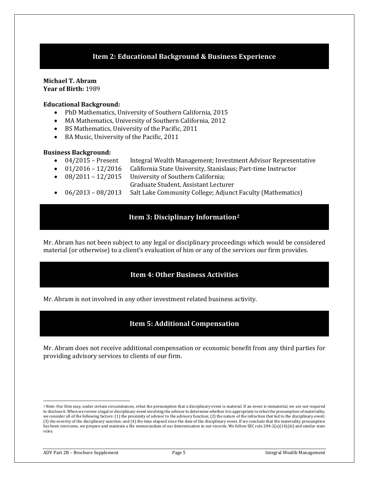# **Item 2: Educational Background & Business Experience**

#### **Michael T. Abram Year of Birth:** 1989

#### **Educational Background:**

- PhD Mathematics, University of Southern California, 2015
- MA Mathematics, University of Southern California, 2012
- BS Mathematics, University of the Pacific, 2011
- BA Music, University of the Pacific, 2011

#### **Business Background:**

- 04/2015 Present Integral Wealth Management; Investment Advisor Representative<br>• 01/2016 12/2016 California State University, Stanislaus; Part-time Instructor
- 01/2016 12/2016 California State University, Stanislaus; Part-time Instructor<br>• 08/2011 12/2015 University of Southern California;
- University of Southern California:
	- Graduate Student, Assistant Lecturer
- 06/2013 08/2013 Salt Lake Community College; Adjunct Faculty (Mathematics)

# **Item 3: Disciplinary Information[2](#page-18-0)**

Mr. Abram has not been subject to any legal or disciplinary proceedings which would be considered material (or otherwise) to a client's evaluation of him or any of the services our firm provides.

# **Item 4: Other Business Activities**

Mr. Abram is not involved in any other investment related business activity.

# **Item 5: Additional Compensation**

Mr. Abram does not receive additional compensation or economic benefit from any third parties for providing advisory services to clients of our firm.

<span id="page-18-0"></span><sup>&</sup>lt;sup>2</sup> Note: Our firm may, under certain circumstances, rebut the presumption that a disciplinary event is material. If an event is immaterial, we are not required to disclose it. When we review a legal or disciplinary event involving the advisor to determine whether it is appropriate to rebut the presumption of materiality, we consider all of the following factors: (1) the proximity of advisor to the advisory function; (2) the nature of the infraction that led to the disciplinary event; (3) the severity of the disciplinary sanction; and (4) the time elapsed since the date of the disciplinary event. If we conclude that the materiality presumption has been overcome, we prepare and maintain a file memorandum of our determination in our records. We follow SEC rule 204-2(a)(14)(iii) and similar state rules.